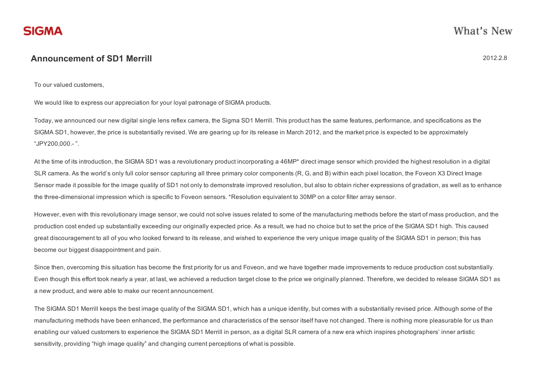## Announcement of SD1 Merrill 2012.2.8

What's New

To our valued customers,

We would like to express our appreciation for your loyal patronage of SIGMA products.

Today, we announced our new digital single lens reflex camera, the Sigma SD1 Merrill. This product has the same features, performance, and specifications as the SIGMA SD1, however, the price is substantially revised. We are gearing up for its release in March 2012, and the market price is expected to be approximately "JPY200,000. ".

At the time of its introduction, the SIGMA SD1 was a revolutionary product incorporating a 46MP\* direct image sensor which provided the highest resolution in a digital SLR camera. As the world's only full color sensor capturing all three primary color components (R, G, and B) within each pixel location, the Foveon X3 Direct Image Sensor made it possible for the image quality of SD1 not only to demonstrate improved resolution, but also to obtain richer expressions of gradation, as well as to enhance the three-dimensional impression which is specific to Foveon sensors. \*Resolution equivalent to 30MP on a color filter array sensor.

However, even with this revolutionary image sensor, we could not solve issues related to some of the manufacturing methods before the start of mass production, and the production cost ended up substantially exceeding our originally expected price. As a result, we had no choice but to set the price of the SIGMA SD1 high. This caused great discouragement to all of you who looked forward to its release, and wished to experience the very unique image quality of the SIGMA SD1 in person; this has become our biggest disappointment and pain.

Since then, overcoming this situation has become the first priority for us and Foveon, and we have together made improvements to reduce production cost substantially. Even though this effort took nearly a year, at last, we achieved a reduction target close to the price we originally planned. Therefore, we decided to release SIGMA SD1 as a new product, and were able to make our recent announcement.

The SIGMA SD1 Merrill keeps the best image quality of the SIGMA SD1, which has a unique identity, but comes with a substantially revised price. Although some of the manufacturing methods have been enhanced, the performance and characteristics of the sensor itself have not changed. There is nothing more pleasurable for us than enabling our valued customers to experience the SIGMA SD1 Merrill in person, as a digital SLR camera of a new era which inspires photographers' inner artistic sensitivity, providing "high image quality" and changing current perceptions of what is possible.